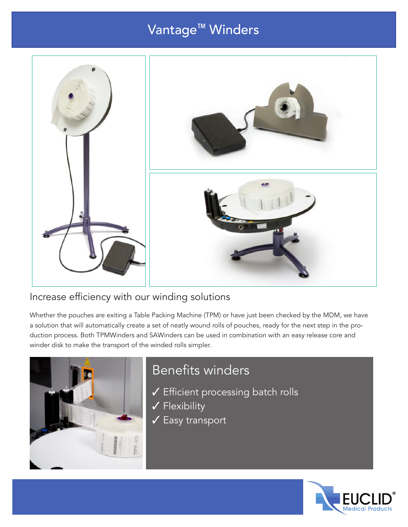# Vantage™ Winders



#### Increase efficiency with our winding solutions

Whether the pouches are exiting a Table Packing Machine (TPM) or have just been checked by the MDM, we have a solution that will automatically create a set of neatly wound rolls of pouches, ready for the next step in the production process. Both TPMWinders and SAWinders can be used in combination with an easy release core and winder disk to make the transport of the winded rolls simpler.



#### Benefits winders

- ✓ Efficient processing batch rolls
- ✓ Flexibility
- ✓ Easy transport